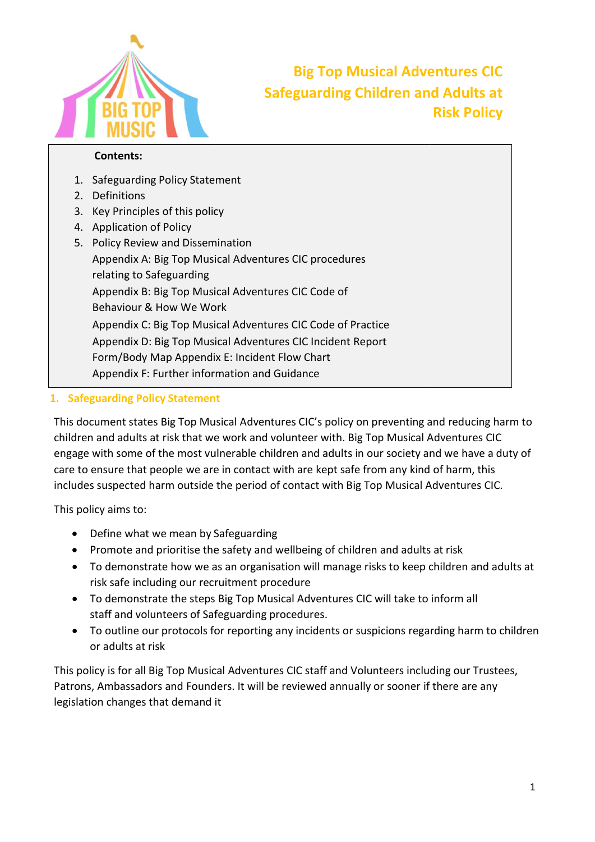

# Safeguarding Children and Adults at Risk Policy

#### Contents:

- 1. Safeguarding Policy Statement
- 2. Definitions
- 3. Key Principles of this policy
- 4. Application of Policy
- 5. Policy Review and Dissemination Appendix A: Big Top Musical Adventures CIC procedures<br>relating to Safeguarding<br>Appendix B: Big Top Musical Adventures CIC Code of relating to Safeguarding Appendix B: Big Top Musical Adventures CIC Code of Behaviour & How We Work Behaviour & How We Work<br>Appendix C: Big Top Musical Adventures CIC Code of Practice Appendix D: Big Top Musical Adventures CIC Incident Report Form/Body Map Appendix E: Incident Flow Chart Appendix F: Further information and Guidance Big Top Musical Adventures CIC<br>
Safeguarding Children and Adults at<br>
Risk Policy<br>
In By Policy Statement<br>
Les of this policy<br>
of Policy<br>
of Policy<br>
or Suspersition<br>
I: Big Top Musical Adventures CIC procedures<br>
Safeguardin

#### 1. Safeguarding Policy Statement

This document states Big Top Musical Adventures CIC's policy on preventing and reducing harm to This document states Big Top Musical Adventures CIC's policy on preventing and reducing ha<br>children and adults at risk that we work and volunteer with. Big Top Musical Adventures CIC children and adults at risk that we work and volunteer with. Big Top Musical Adventures CIC<br>engage with some of the most vulnerable children and adults in our society and we have a duty of<br>care to ensure that people we are care to ensure that people we are in contact with are kept safe from any kind of harm, this includes suspected harm outside the period of contact with Big Top Musical Adventures

This policy aims to:

- Define what we mean by Safeguarding
- Promote and prioritise the safety and wellbeing of children and adults at risk
- Promote and prioritise the safety and wellbeing of children and adults at risk<br>● To demonstrate how we as an organisation will manage risks to keep children and adults at risk safe including our recruitment procedure
- To demonstrate the steps Big Top Musical Adventures CIC will take to inform all staff and volunteers of Safeguarding procedures.
- To outline our protocols for reporting any incidents or suspicions regarding harm to children or adults at risk

This policy is for all Big Top Musical Adventures CIC staff and Volunteers including our Trustees, Patrons, Ambassadors and Founders. It will be reviewed annually or sooner if ther legislation changes that demand it This policy is for all Big Top Musica<br>Patrons, Ambassadors and Founde<br>legislation changes that demand it ng any incidents or suspicions regarding harm to<br>tures CIC staff and Volunteers including our Trust<br>I be reviewed annually or sooner if there are any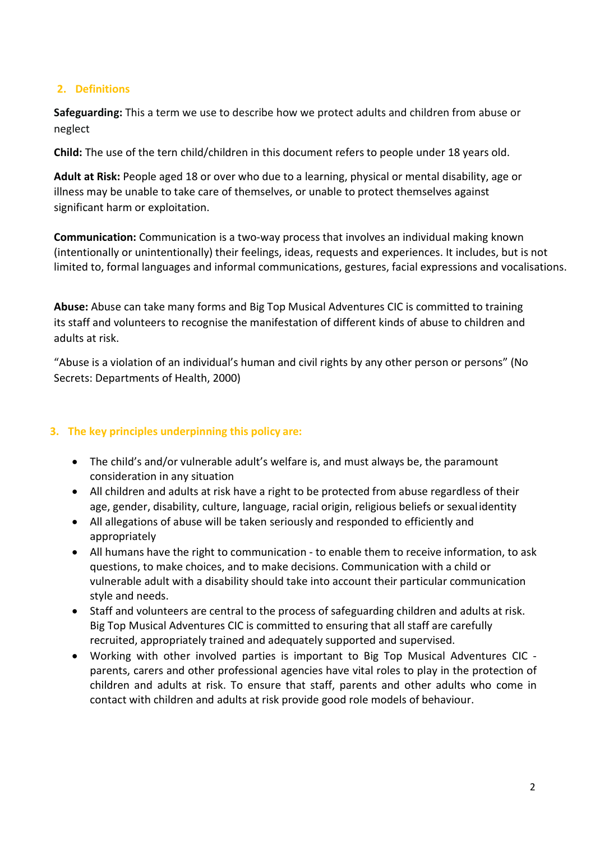#### 2. Definitions

Safeguarding: This a term we use to describe how we protect adults and children from abuse or neglect

Child: The use of the tern child/children in this document refers to people under 18 years old.

Adult at Risk: People aged 18 or over who due to a learning, physical or mental disability, age or illness may be unable to take care of themselves, or unable to protect themselves against significant harm or exploitation.

Communication: Communication is a two-way process that involves an individual making known (intentionally or unintentionally) their feelings, ideas, requests and experiences. It includes, but is not limited to, formal languages and informal communications, gestures, facial expressions and vocalisations.

Abuse: Abuse can take many forms and Big Top Musical Adventures CIC is committed to training its staff and volunteers to recognise the manifestation of different kinds of abuse to children and adults at risk.

"Abuse is a violation of an individual's human and civil rights by any other person or persons" (No Secrets: Departments of Health, 2000)

#### 3. The key principles underpinning this policy are:

- The child's and/or vulnerable adult's welfare is, and must always be, the paramount consideration in any situation
- All children and adults at risk have a right to be protected from abuse regardless of their age, gender, disability, culture, language, racial origin, religious beliefs or sexual identity
- All allegations of abuse will be taken seriously and responded to efficiently and appropriately
- All humans have the right to communication to enable them to receive information, to ask questions, to make choices, and to make decisions. Communication with a child or vulnerable adult with a disability should take into account their particular communication style and needs.
- Staff and volunteers are central to the process of safeguarding children and adults at risk. Big Top Musical Adventures CIC is committed to ensuring that all staff are carefully recruited, appropriately trained and adequately supported and supervised.
- Working with other involved parties is important to Big Top Musical Adventures CIC parents, carers and other professional agencies have vital roles to play in the protection of children and adults at risk. To ensure that staff, parents and other adults who come in contact with children and adults at risk provide good role models of behaviour.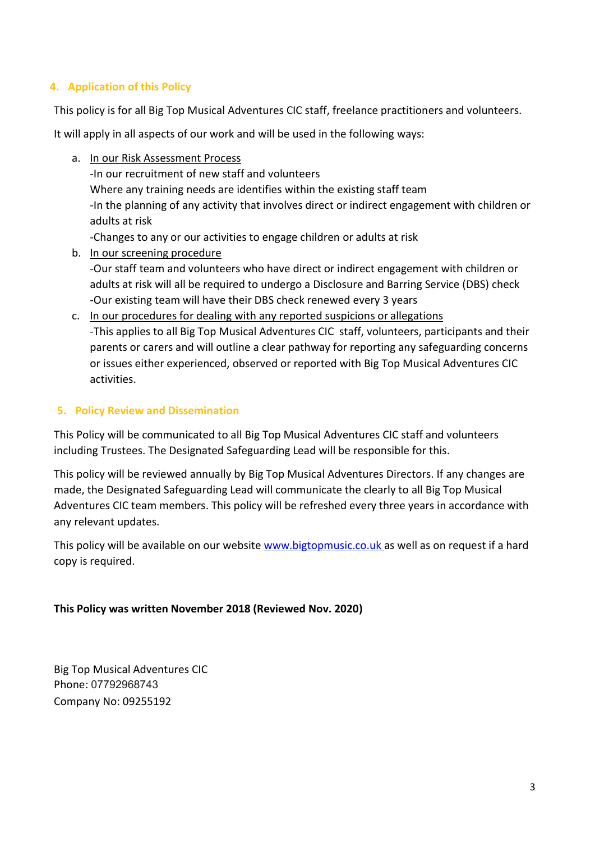#### 4. Application of this Policy

This policy is for all Big Top Musical Adventures CIC staff, freelance practitioners and volunteers.

It will apply in all aspects of our work and will be used in the following ways:

- a. In our Risk Assessment Process -In our recruitment of new staff and volunteers Where any training needs are identifies within the existing staff team -In the planning of any activity that involves direct or indirect engagement with children or adults at risk -Changes to any or our activities to engage children or adults at risk b. In our screening procedure
	- -Our staff team and volunteers who have direct or indirect engagement with children or adults at risk will all be required to undergo a Disclosure and Barring Service (DBS) check -Our existing team will have their DBS check renewed every 3 years
- c. In our procedures for dealing with any reported suspicions or allegations -This applies to all Big Top Musical Adventures CIC staff, volunteers, participants and their parents or carers and will outline a clear pathway for reporting any safeguarding concerns or issues either experienced, observed or reported with Big Top Musical Adventures CIC activities.

#### 5. Policy Review and Dissemination

This Policy will be communicated to all Big Top Musical Adventures CIC staff and volunteers including Trustees. The Designated Safeguarding Lead will be responsible for this.

This policy will be reviewed annually by Big Top Musical Adventures Directors. If any changes are made, the Designated Safeguarding Lead will communicate the clearly to all Big Top Musical Adventures CIC team members. This policy will be refreshed every three years in accordance with any relevant updates.

This policy will be available on our website www.bigtopmusic.co.uk as well as on request if a hard copy is required.

#### This Policy was written November 2018 (Reviewed Nov. 2020)

Big Top Musical Adventures CIC Phone: 07792968743 Company No: 09255192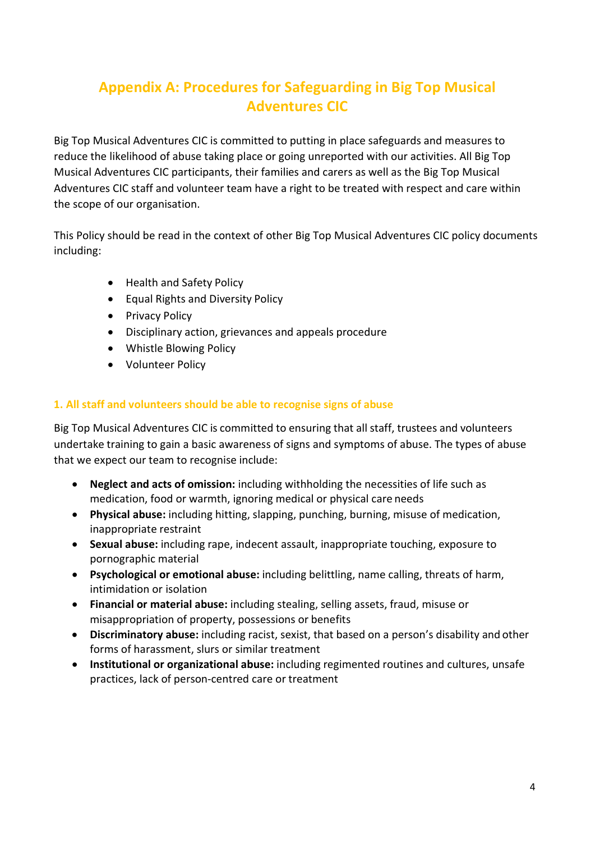## Appendix A: Procedures for Safeguarding in Big Top Musical Adventures CIC

Big Top Musical Adventures CIC is committed to putting in place safeguards and measures to reduce the likelihood of abuse taking place or going unreported with our activities. All Big Top Musical Adventures CIC participants, their families and carers as well as the Big Top Musical Adventures CIC staff and volunteer team have a right to be treated with respect and care within the scope of our organisation.

This Policy should be read in the context of other Big Top Musical Adventures CIC policy documents including:

- Health and Safety Policy
- Equal Rights and Diversity Policy
- Privacy Policy
- Disciplinary action, grievances and appeals procedure
- Whistle Blowing Policy
- Volunteer Policy

#### 1. All staff and volunteers should be able to recognise signs of abuse

Big Top Musical Adventures CIC is committed to ensuring that all staff, trustees and volunteers undertake training to gain a basic awareness of signs and symptoms of abuse. The types of abuse that we expect our team to recognise include:

- Neglect and acts of omission: including withholding the necessities of life such as medication, food or warmth, ignoring medical or physical care needs
- Physical abuse: including hitting, slapping, punching, burning, misuse of medication, inappropriate restraint
- Sexual abuse: including rape, indecent assault, inappropriate touching, exposure to pornographic material
- Psychological or emotional abuse: including belittling, name calling, threats of harm, intimidation or isolation
- Financial or material abuse: including stealing, selling assets, fraud, misuse or misappropriation of property, possessions or benefits
- Discriminatory abuse: including racist, sexist, that based on a person's disability and other forms of harassment, slurs or similar treatment
- Institutional or organizational abuse: including regimented routines and cultures, unsafe practices, lack of person-centred care or treatment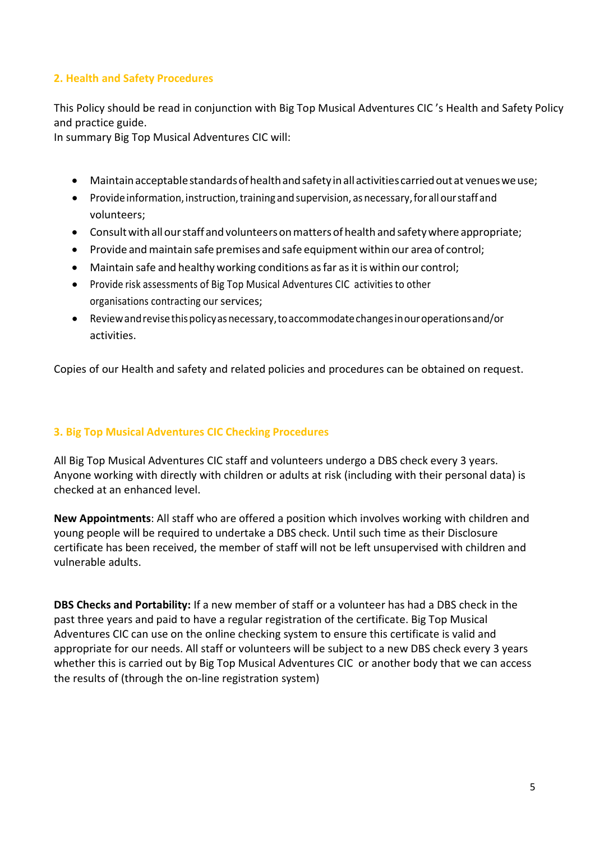#### 2. Health and Safety Procedures

This Policy should be read in conjunction with Big Top Musical Adventures CIC 's Health and Safety Policy and practice guide.

In summary Big Top Musical Adventures CIC will:

- Maintain acceptable standards of health and safety in all activities carried out at venues we use;
- Provide information, instruction, training and supervision, as necessary, for all our staff and volunteers;
- Consult with all our staff and volunteers on matters of health and safety where appropriate;
- Provide and maintain safe premises and safe equipment within our area of control;
- Maintain safe and healthy working conditions as far as it is within our control;
- Provide risk assessments of Big Top Musical Adventures CIC activities to other organisations contracting our services;
- Review and revise this policy as necessary, to accommodate changes in our operations and/or activities.

Copies of our Health and safety and related policies and procedures can be obtained on request.

#### 3. Big Top Musical Adventures CIC Checking Procedures

All Big Top Musical Adventures CIC staff and volunteers undergo a DBS check every 3 years. Anyone working with directly with children or adults at risk (including with their personal data) is checked at an enhanced level.

New Appointments: All staff who are offered a position which involves working with children and young people will be required to undertake a DBS check. Until such time as their Disclosure certificate has been received, the member of staff will not be left unsupervised with children and vulnerable adults.

DBS Checks and Portability: If a new member of staff or a volunteer has had a DBS check in the past three years and paid to have a regular registration of the certificate. Big Top Musical Adventures CIC can use on the online checking system to ensure this certificate is valid and appropriate for our needs. All staff or volunteers will be subject to a new DBS check every 3 years whether this is carried out by Big Top Musical Adventures CIC or another body that we can access the results of (through the on-line registration system)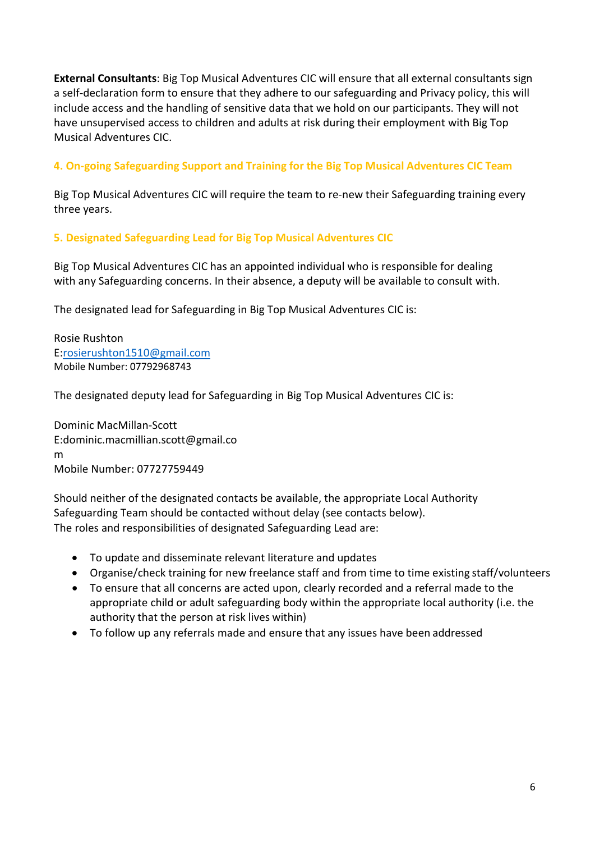External Consultants: Big Top Musical Adventures CIC will ensure that all external consultants sign a self-declaration form to ensure that they adhere to our safeguarding and Privacy policy, this will include access and the handling of sensitive data that we hold on our participants. They will not have unsupervised access to children and adults at risk during their employment with Big Top Musical Adventures CIC.

4. On-going Safeguarding Support and Training for the Big Top Musical Adventures CIC Team

Big Top Musical Adventures CIC will require the team to re-new their Safeguarding training every three years.

#### 5. Designated Safeguarding Lead for Big Top Musical Adventures CIC

Big Top Musical Adventures CIC has an appointed individual who is responsible for dealing with any Safeguarding concerns. In their absence, a deputy will be available to consult with.

The designated lead for Safeguarding in Big Top Musical Adventures CIC is:

Rosie Rushton E:rosierushton1510@gmail.com Mobile Number: 07792968743

The designated deputy lead for Safeguarding in Big Top Musical Adventures CIC is:

Dominic MacMillan-Scott E:dominic.macmillian.scott@gmail.co m Mobile Number: 07727759449

Should neither of the designated contacts be available, the appropriate Local Authority Safeguarding Team should be contacted without delay (see contacts below). The roles and responsibilities of designated Safeguarding Lead are:

- To update and disseminate relevant literature and updates
- Organise/check training for new freelance staff and from time to time existing staff/volunteers
- To ensure that all concerns are acted upon, clearly recorded and a referral made to the appropriate child or adult safeguarding body within the appropriate local authority (i.e. the authority that the person at risk lives within)
- To follow up any referrals made and ensure that any issues have been addressed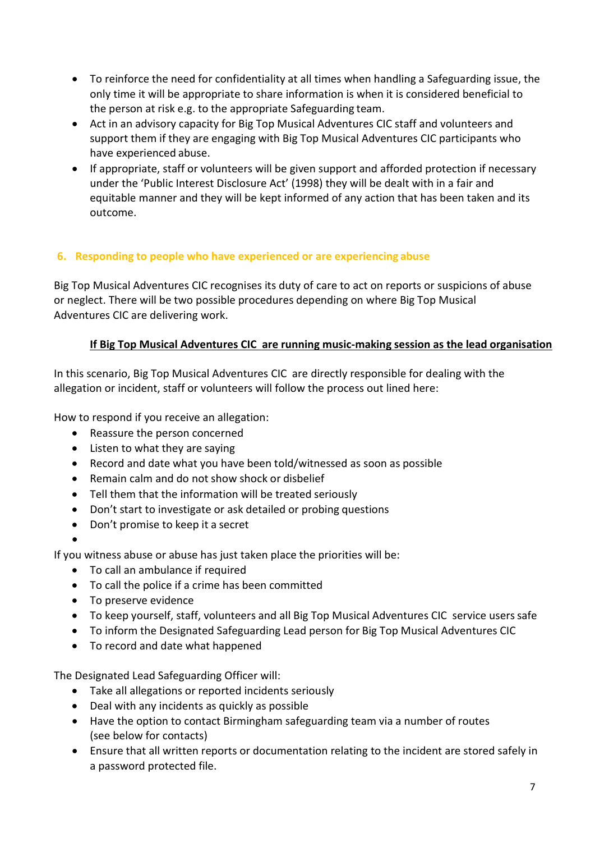- To reinforce the need for confidentiality at all times when handling a Safeguarding issue, the only time it will be appropriate to share information is when it is considered beneficial to the person at risk e.g. to the appropriate Safeguarding team.
- Act in an advisory capacity for Big Top Musical Adventures CIC staff and volunteers and support them if they are engaging with Big Top Musical Adventures CIC participants who have experienced abuse.
- If appropriate, staff or volunteers will be given support and afforded protection if necessary under the 'Public Interest Disclosure Act' (1998) they will be dealt with in a fair and equitable manner and they will be kept informed of any action that has been taken and its outcome.

#### 6. Responding to people who have experienced or are experiencing abuse

Big Top Musical Adventures CIC recognises its duty of care to act on reports or suspicions of abuse or neglect. There will be two possible procedures depending on where Big Top Musical Adventures CIC are delivering work.

#### If Big Top Musical Adventures CIC are running music-making session as the lead organisation

In this scenario, Big Top Musical Adventures CIC are directly responsible for dealing with the allegation or incident, staff or volunteers will follow the process out lined here:

How to respond if you receive an allegation:

- Reassure the person concerned
- Listen to what they are saying
- Record and date what you have been told/witnessed as soon as possible
- Remain calm and do not show shock or disbelief
- Tell them that the information will be treated seriously
- Don't start to investigate or ask detailed or probing questions
- Don't promise to keep it a secret

If you witness abuse or abuse has just taken place the priorities will be:

- To call an ambulance if required
- To call the police if a crime has been committed
- To preserve evidence

 $\bullet$ 

- To keep yourself, staff, volunteers and all Big Top Musical Adventures CIC service users safe
- To inform the Designated Safeguarding Lead person for Big Top Musical Adventures CIC
- To record and date what happened

The Designated Lead Safeguarding Officer will:

- Take all allegations or reported incidents seriously
- Deal with any incidents as quickly as possible
- Have the option to contact Birmingham safeguarding team via a number of routes (see below for contacts)
- Ensure that all written reports or documentation relating to the incident are stored safely in a password protected file.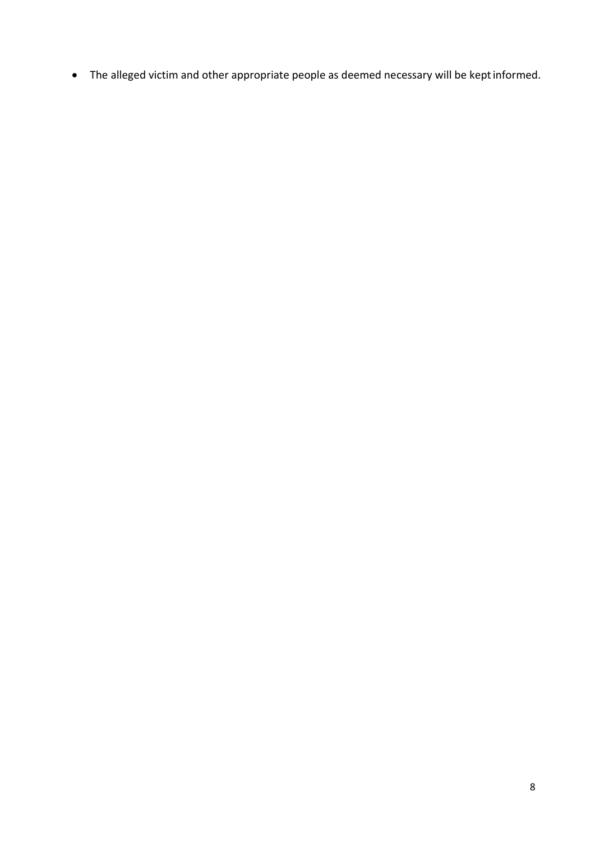The alleged victim and other appropriate people as deemed necessary will be kept informed.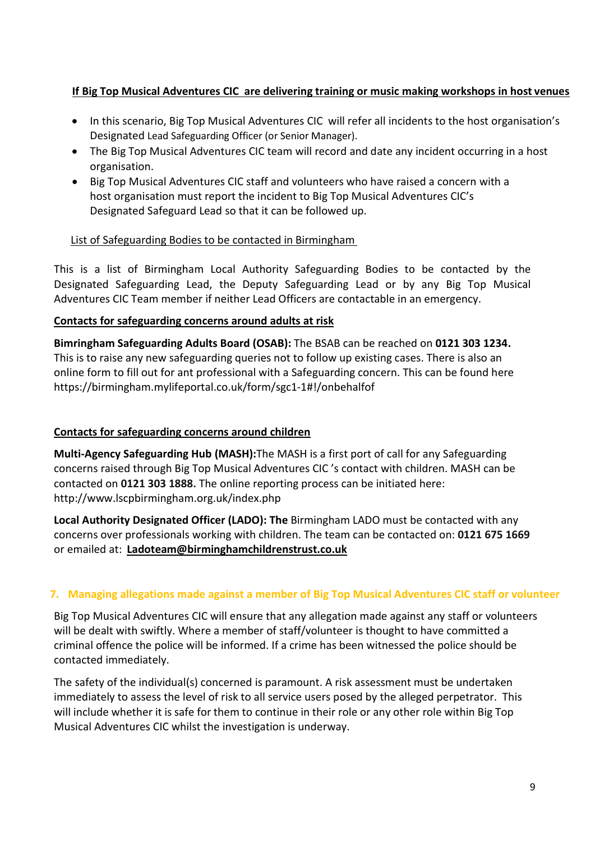#### If Big Top Musical Adventures CIC are delivering training or music making workshops in host venues

- In this scenario, Big Top Musical Adventures CIC will refer all incidents to the host organisation's Designated Lead Safeguarding Officer (or Senior Manager).
- The Big Top Musical Adventures CIC team will record and date any incident occurring in a host organisation.
- Big Top Musical Adventures CIC staff and volunteers who have raised a concern with a host organisation must report the incident to Big Top Musical Adventures CIC's Designated Safeguard Lead so that it can be followed up.

#### List of Safeguarding Bodies to be contacted in Birmingham

This is a list of Birmingham Local Authority Safeguarding Bodies to be contacted by the Designated Safeguarding Lead, the Deputy Safeguarding Lead or by any Big Top Musical Adventures CIC Team member if neither Lead Officers are contactable in an emergency.

#### Contacts for safeguarding concerns around adults at risk

Bimringham Safeguarding Adults Board (OSAB): The BSAB can be reached on 0121 303 1234. This is to raise any new safeguarding queries not to follow up existing cases. There is also an online form to fill out for ant professional with a Safeguarding concern. This can be found here https://birmingham.mylifeportal.co.uk/form/sgc1-1#!/onbehalfof

#### Contacts for safeguarding concerns around children

Multi-Agency Safeguarding Hub (MASH):The MASH is a first port of call for any Safeguarding concerns raised through Big Top Musical Adventures CIC 's contact with children. MASH can be contacted on 0121 303 1888. The online reporting process can be initiated here: http://www.lscpbirmingham.org.uk/index.php

Local Authority Designated Officer (LADO): The Birmingham LADO must be contacted with any concerns over professionals working with children. The team can be contacted on: 0121 675 1669 or emailed at: Ladoteam@birminghamchildrenstrust.co.uk

#### 7. Managing allegations made against a member of Big Top Musical Adventures CIC staff or volunteer

Big Top Musical Adventures CIC will ensure that any allegation made against any staff or volunteers will be dealt with swiftly. Where a member of staff/volunteer is thought to have committed a criminal offence the police will be informed. If a crime has been witnessed the police should be contacted immediately.

The safety of the individual(s) concerned is paramount. A risk assessment must be undertaken immediately to assess the level of risk to all service users posed by the alleged perpetrator. This will include whether it is safe for them to continue in their role or any other role within Big Top Musical Adventures CIC whilst the investigation is underway.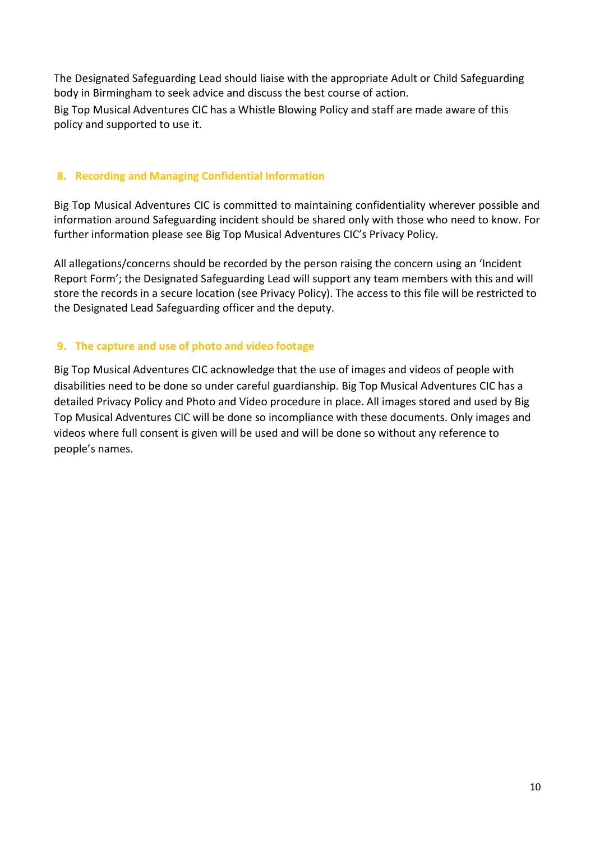The Designated Safeguarding Lead should liaise with the appropriate Adult or Child Safeguarding body in Birmingham to seek advice and discuss the best course of action.

Big Top Musical Adventures CIC has a Whistle Blowing Policy and staff are made aware of this policy and supported to use it.

#### 8. Recording and Managing Confidential Information

Big Top Musical Adventures CIC is committed to maintaining confidentiality wherever possible and information around Safeguarding incident should be shared only with those who need to know. For further information please see Big Top Musical Adventures CIC's Privacy Policy.

All allegations/concerns should be recorded by the person raising the concern using an 'Incident Report Form'; the Designated Safeguarding Lead will support any team members with this and will store the records in a secure location (see Privacy Policy). The access to this file will be restricted to the Designated Lead Safeguarding officer and the deputy.

#### 9. The capture and use of photo and video footage

Big Top Musical Adventures CIC acknowledge that the use of images and videos of people with disabilities need to be done so under careful guardianship. Big Top Musical Adventures CIC has a detailed Privacy Policy and Photo and Video procedure in place. All images stored and used by Big Top Musical Adventures CIC will be done so incompliance with these documents. Only images and videos where full consent is given will be used and will be done so without any reference to people's names.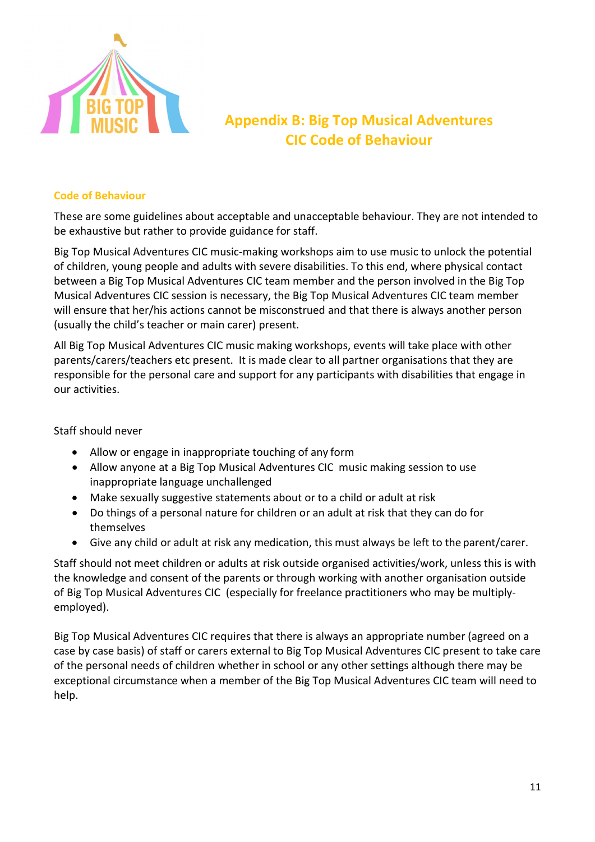

### Appendix B: Big Top Musical Adventures CIC Code of Behaviour

#### Code of Behaviour

These are some guidelines about acceptable and unacceptable behaviour. They are not intended to<br>be exhaustive but rather to provide guidance for staff.<br>Big Top Musical Adventures CIC music-making workshops aim to use music be exhaustive but rather to provide guidance for staff.

Big Top Musical Adventures CIC music-making workshops aim to use music to unlock the potential of children, young people and adults with severe disabilities. To this end, where physical contact of children, young people and adults with severe disabilities. To this end, where physical contact<br>between a Big Top Musical Adventures CIC team member and the person involved in the Big Top Big Top Musical Adventures CIC music-making workshops aim to use music to unlock the potent of children, young people and adults with severe disabilities. To this end, where physical contact between a Big Top Musical Adven will ensure that her/his actions cannot be misconstrued and that there is always another person<br>(usually the child's teacher or main carer) present. (usually the child's teacher or main carer) present.

All Big Top Musical Adventures CIC music making workshops, events will take place with other parents/carers/teachers etc present. It is made clear to all partner organisations that they are responsible for the personal care and support for any participants with disabilities that engage in<br>
our activities.<br>
Staff should never<br>
• Allow or engage in inappropriate touching of any form our activities. sic making workshops, events will take place with<br>t is made clear to all partner organisations that th<br>support for any participants with disabilities that<br>te touching of any form<br>ical Adventures CIC music making session to

#### Staff should never

- Allow or engage in inappropriate touching of any form
- Allow anyone at a Big Top Musical Adventures CIC music making session inappropriate language unchallenged
- inappropriate language unchallenged<br>• Make sexually suggestive statements about or to a child or adult at risk
- Do things of a personal nature for children or an adult at risk that they can do for themselves • Do things of a personal nature for children or an adult at risk that they can do for<br>themselves<br>• Give any child or adult at risk any medication, this must always be left to the parent/carer.<br>Staff should not meet childr
	- Give any child or adult at risk any medication, this must always be left to the parent/carer.

the knowledge and consent of the parents or through working with another organisation outside of Big Top Musical Adventures CIC (especially for freelance practitioners who may be multiplyemployed). dults at risk outside organised activities/work, unless this is<br>parents or through working with another organisation outsiq<br>(especially for freelance practitioners who may be multiply-

Big Top Musical Adventures CIC requires that there is always an appropriate number (agreed on a case by case basis) of staff or carers external to Big Top Musical Adventures CIC present to take care of the personal needs of children whether in school or any other settings although there may be of the personal needs of children whether in school or any other settings although there may be<br>exceptional circumstance when a member of the Big Top Musical Adventures CIC team will need to help.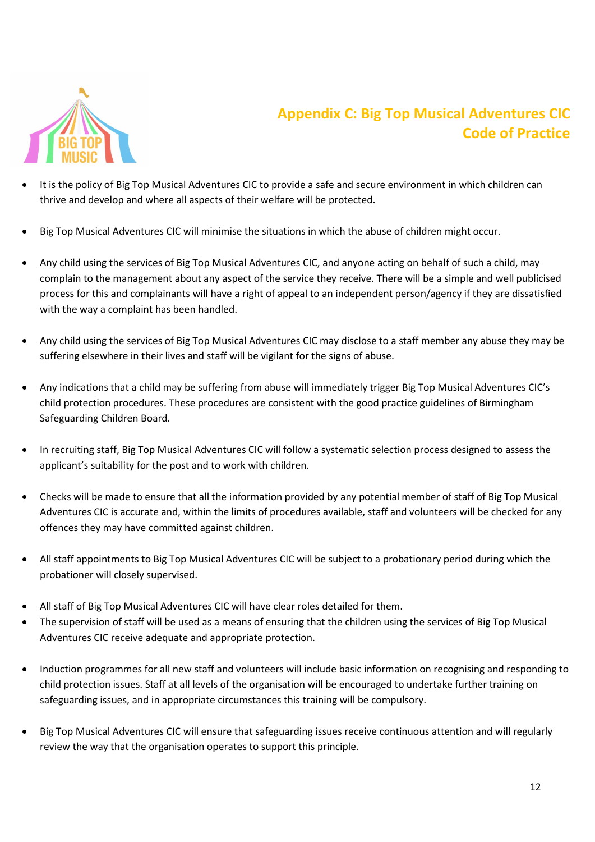

# Appendix C: Big Top Musical Adventures CIC Code of Practice

- It is the policy of Big Top Musical Adventures CIC to provide a safe and secure environment in which children can thrive and develop and where all aspects of their welfare will be protected.
- Big Top Musical Adventures CIC will minimise the situations in which the abuse of children might occur.
- Big Top Musical Adventures CIC will minimise the situations in which the abuse of children might occur.<br>• Any child using the services of Big Top Musical Adventures CIC, and anyone acting on behalf of such a child, may Any child using the services of Big Top Musical Adventures CIC, and anyone acting on behalf of such a child, may<br>complain to the management about any aspect of the service they receive. There will be a simple and well publ process for this and complainants will have a right of appeal to an independent person/agency if they are dissatisfied with the way a complaint has been handled.
- Any child using the services of Big Top Musical Adventures CIC may disclose to a staff member any abuse they may be suffering elsewhere in their lives and staff will be vigilant for the signs of abuse.
- Any indications that a child may be suffering from abuse will immediately trigger Big Top Musical Adventures CIC's child protection procedures. These procedures are consistent with the good practice guidelines of Birmingham Safeguarding Children Board.
- . In recruiting staff, Big Top Musical Adventures CIC will follow a systematic selection process designed to assess the applicant's suitability for the post and to work with children.
- Checks will be made to ensure that all the information provided by any potential member of staff of Big Top Musical Adventures CIC is accurate and, within the limits of procedures available, staff and volunteers will be be checked for any offences they may have committed against children. Adventures CIC is accurate and, within the limits of procedures available, staff and volunteers will be checked for a<br>offences they may have committed against children.<br>• All staff appointments to Big Top Musical Adventure
- probationer will closely supervised.
- All staff of Big Top Musical Adventures CIC will have clear roles detailed for them.
- The supervision of staff will be used as a means of ensuring that the children using the services of Big Top Musical Adventures CIC receive adequate and appropriate protection.
- Adventures CIC receive adequate and appropriate protection.<br>• Induction programmes for all new staff and volunteers will include basic information on recognising and responding to child protection issues. Staff at all levels of the organisation will be encouraged to undertake further training on safeguarding issues, and in appropriate circumstances this training will be compulsory.
- Big Top Musical Adventures CIC will ensure that safeguarding issues receive continuous attention and will regularly review the way that the organisation operates to support this principle.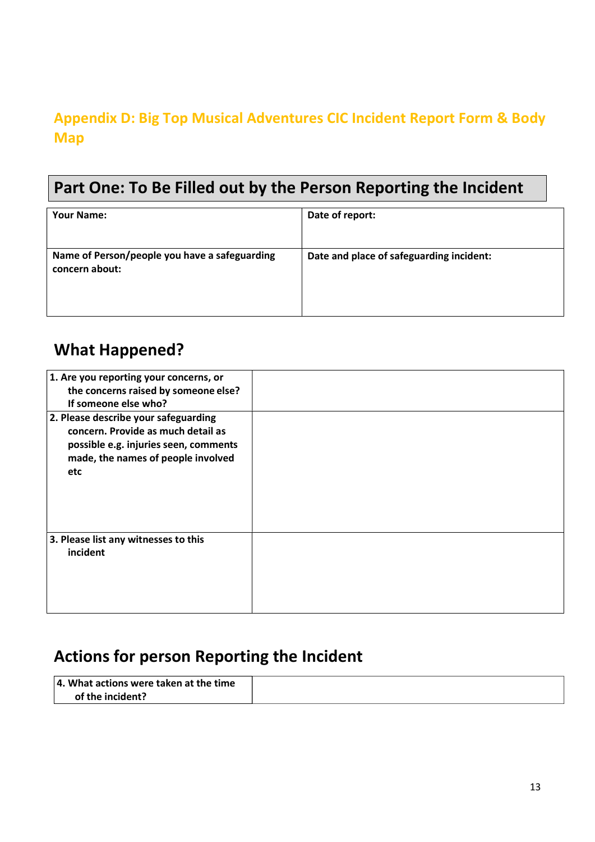# Appendix D: Big Top Musical Adventures CIC Incident Report Form & Body Map

# Part One: To Be Filled out by the Person Reporting the Incident

| <b>Your Name:</b>                                               | Date of report:                          |
|-----------------------------------------------------------------|------------------------------------------|
| Name of Person/people you have a safeguarding<br>concern about: | Date and place of safeguarding incident: |

# What Happened?

| 1. Are you reporting your concerns, or<br>the concerns raised by someone else?<br>If someone else who?                                                           |  |
|------------------------------------------------------------------------------------------------------------------------------------------------------------------|--|
| 2. Please describe your safeguarding<br>concern. Provide as much detail as<br>possible e.g. injuries seen, comments<br>made, the names of people involved<br>etc |  |
| 3. Please list any witnesses to this<br>incident                                                                                                                 |  |

# Actions for person Reporting the Incident

| $\vert$ 4. What actions were taken at the time |  |
|------------------------------------------------|--|
| of the incident?                               |  |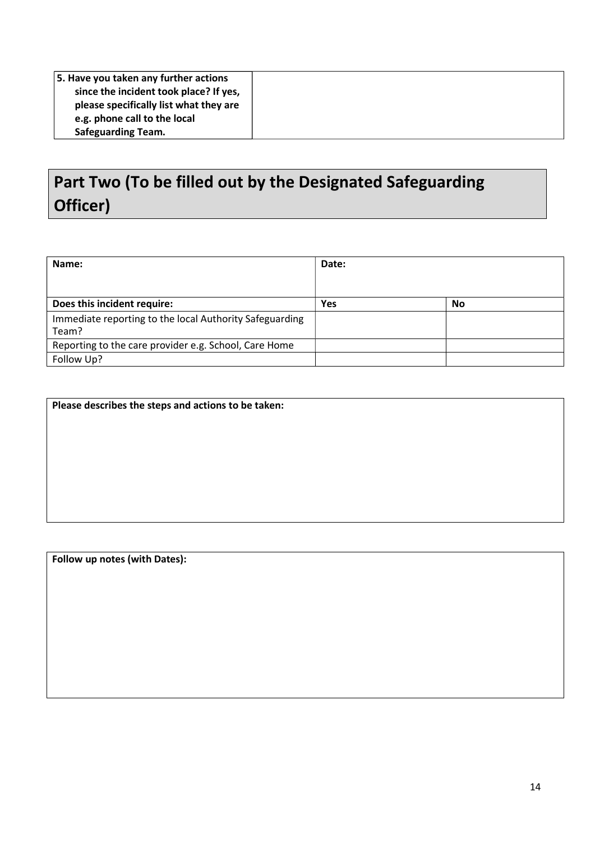| 5. Have you taken any further actions  |  |
|----------------------------------------|--|
| since the incident took place? If yes, |  |
| please specifically list what they are |  |
| e.g. phone call to the local           |  |
| <b>Safeguarding Team.</b>              |  |

# Part Two (To be filled out by the Designated Safeguarding Officer)

| Name:                                                            | Date: |           |
|------------------------------------------------------------------|-------|-----------|
| Does this incident require:                                      | Yes   | <b>No</b> |
| Immediate reporting to the local Authority Safeguarding<br>Team? |       |           |
| Reporting to the care provider e.g. School, Care Home            |       |           |
| Follow Up?                                                       |       |           |

Follow up notes (with Dates):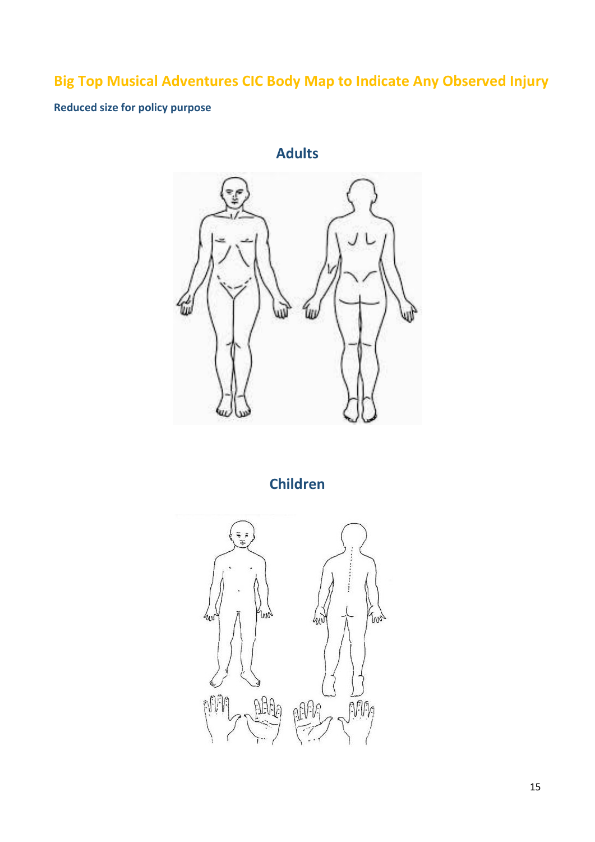# Big Top Musical Adventures CIC Body Map to Indicate Any Observed Injury

### Reduced size for policy purpose

Adults ÌШ

Children

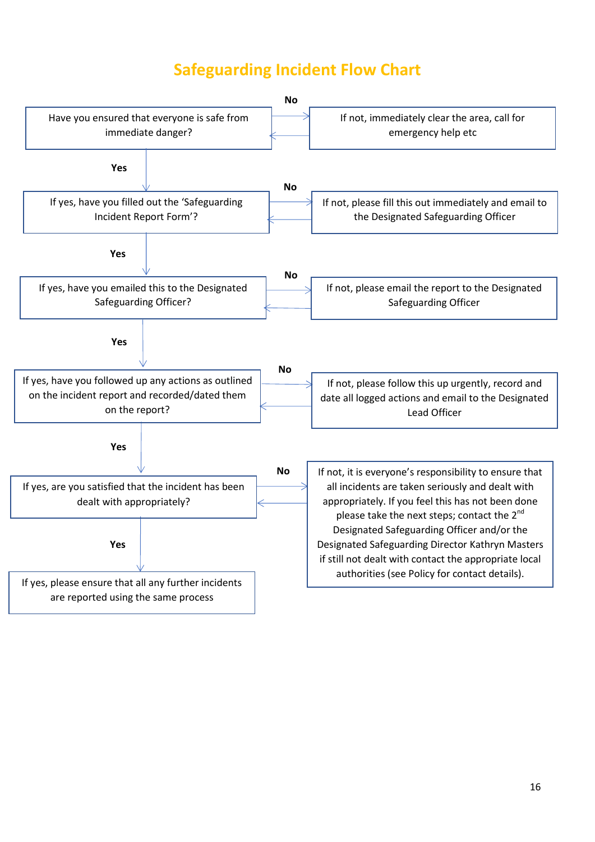# Safeguarding Incident Flow Chart

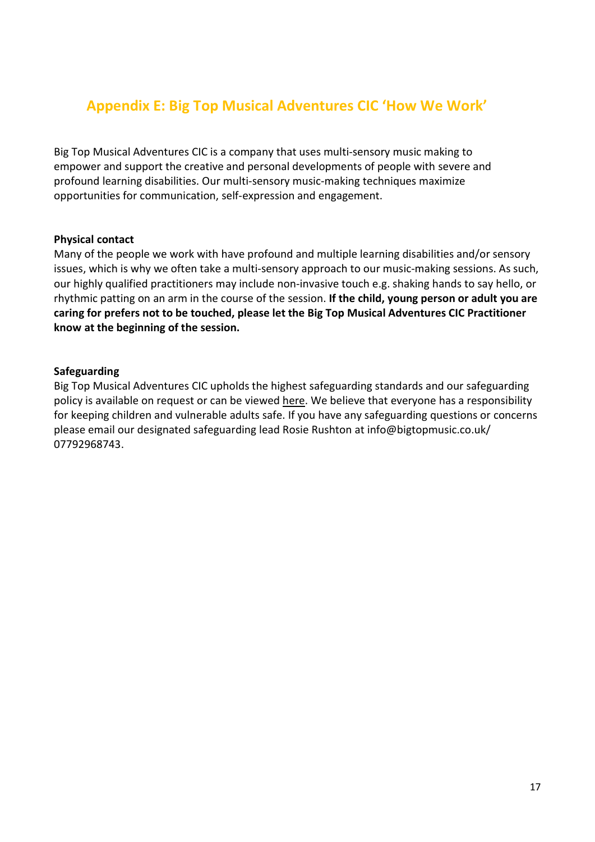### Appendix E: Big Top Musical Adventures CIC 'How We Work'

Big Top Musical Adventures CIC is a company that uses multi-sensory music making to empower and support the creative and personal developments of people with severe and profound learning disabilities. Our multi-sensory music-making techniques maximize opportunities for communication, self-expression and engagement.

#### Physical contact

Many of the people we work with have profound and multiple learning disabilities and/or sensory issues, which is why we often take a multi-sensory approach to our music-making sessions. As such, our highly qualified practitioners may include non-invasive touch e.g. shaking hands to say hello, or rhythmic patting on an arm in the course of the session. If the child, young person or adult you are caring for prefers not to be touched, please let the Big Top Musical Adventures CIC Practitioner know at the beginning of the session.

#### Safeguarding

Big Top Musical Adventures CIC upholds the highest safeguarding standards and our safeguarding policy is available on request or can be viewed here. We believe that everyone has a responsibility for keeping children and vulnerable adults safe. If you have any safeguarding questions or concerns please email our designated safeguarding lead Rosie Rushton at info@bigtopmusic.co.uk/ 07792968743.